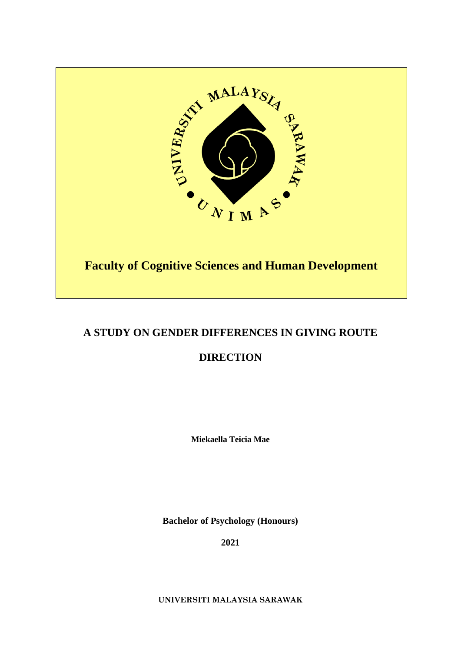

# **A STUDY ON GENDER DIFFERENCES IN GIVING ROUTE**

# **DIRECTION**

**Miekaella Teicia Mae** 

**Bachelor of Psychology (Honours)** 

**2021** 

**UNIVERSITI MALAYSIA SARAWAK**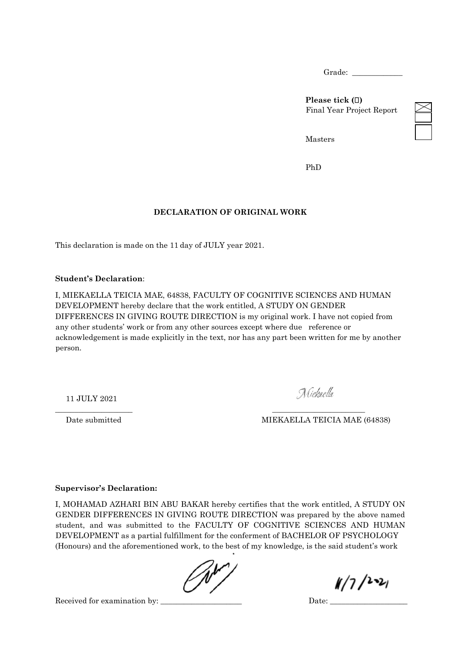Grade:

**Please tick ( )**  Final Year Project Report

Masters

PhD

## **DECLARATION OF ORIGINAL WORK**

This declaration is made on the 11 day of JULY year 2021.

#### **Student's Declaration**:

I, MIEKAELLA TEICIA MAE, 64838, FACULTY OF COGNITIVE SCIENCES AND HUMAN DEVELOPMENT hereby declare that the work entitled, A STUDY ON GENDER DIFFERENCES IN GIVING ROUTE DIRECTION is my original work. I have not copied from any other students' work or from any other sources except where due reference or acknowledgement is made explicitly in the text, nor has any part been written for me by another person.

11 JULY 2021

Niekaella

Date submitted MIEKAELLA TEICIA MAE (64838)

#### **Supervisor's Declaration:**

I, MOHAMAD AZHARI BIN ABU BAKAR hereby certifies that the work entitled, A STUDY ON GENDER DIFFERENCES IN GIVING ROUTE DIRECTION was prepared by the above named student, and was submitted to the FACULTY OF COGNITIVE SCIENCES AND HUMAN DEVELOPMENT as a partial fulfillment for the conferment of BACHELOR OF PSYCHOLOGY (Honours) and the aforementioned work, to the best of my knowledge, is the said student's work

\_\_\_\_\_\_\_\_\_\_\_\_\_\_\_\_\_\_\_\_ \_\_\_\_\_\_\_\_\_\_\_\_\_\_\_\_\_\_\_\_\_\_\_\_

 $1/7/221$ 

Received for examination by: <br>  $\Box$  Date: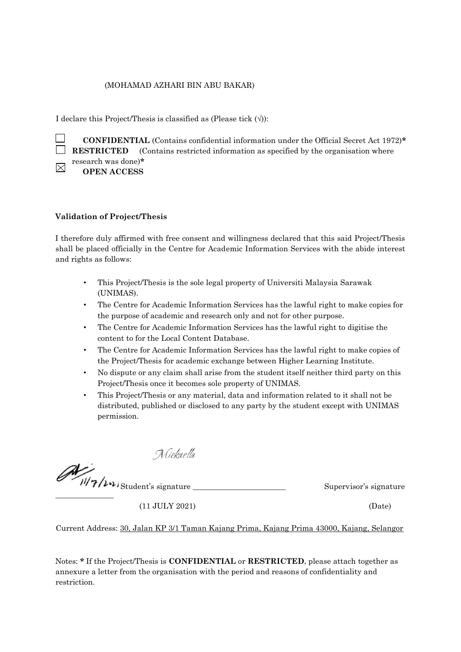#### (MOHAMAD AZHARI BIN ABU BAKAR)

I declare this Project/Thesis is classified as (Please tick  $(\langle \rangle)$ ):

 **CONFIDENTIAL** (Contains confidential information under the Official Secret Act 1972)**\* RESTRICTED** (Contains restricted information as specified by the organisation where research was done)**\***  $\boxtimes$ 

**OPEN ACCESS** 

#### **Validation of Project/Thesis**

I therefore duly affirmed with free consent and willingness declared that this said Project/Thesis shall be placed officially in the Centre for Academic Information Services with the abide interest and rights as follows:

- This Project/Thesis is the sole legal property of Universiti Malaysia Sarawak (UNIMAS).
- The Centre for Academic Information Services has the lawful right to make copies for the purpose of academic and research only and not for other purpose.
- The Centre for Academic Information Services has the lawful right to digitise the content to for the Local Content Database.
- The Centre for Academic Information Services has the lawful right to make copies of the Project/Thesis for academic exchange between Higher Learning Institute.
- No dispute or any claim shall arise from the student itself neither third party on this Project/Thesis once it becomes sole property of UNIMAS.
- This Project/Thesis or any material, data and information related to it shall not be distributed, published or disclosed to any party by the student except with UNIMAS permission.

Niekaella

 $\overline{\phantom{a}}$  , where  $\overline{\phantom{a}}$ 

Student's signature \_\_\_\_\_\_\_\_\_\_\_\_\_\_\_\_\_\_\_\_\_\_\_\_ Supervisor's signature

(11 JULY 2021) (Date)

Current Address: 30, Jalan KP 3/1 Taman Kajang Prima, Kajang Prima 43000, Kajang, Selangor

Notes: **\*** If the Project/Thesis is **CONFIDENTIAL** or **RESTRICTED**, please attach together as annexure a letter from the organisation with the period and reasons of confidentiality and restriction.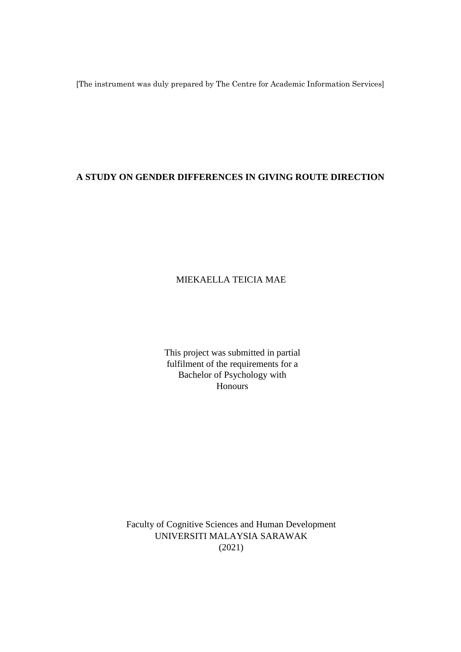[The instrument was duly prepared by The Centre for Academic Information Services]

# **A STUDY ON GENDER DIFFERENCES IN GIVING ROUTE DIRECTION**

# MIEKAELLA TEICIA MAE

This project was submitted in partial fulfilment of the requirements for a Bachelor of Psychology with Honours

Faculty of Cognitive Sciences and Human Development UNIVERSITI MALAYSIA SARAWAK (2021)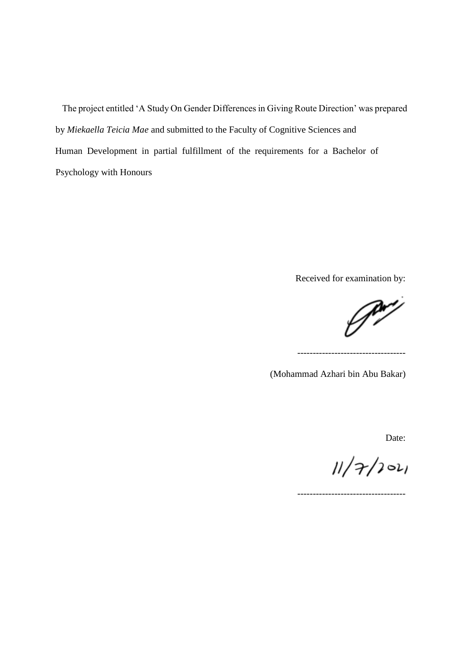The project entitled 'A Study On Gender Differences in Giving Route Direction' was prepared by *Miekaella Teicia Mae* and submitted to the Faculty of Cognitive Sciences and Human Development in partial fulfillment of the requirements for a Bachelor of Psychology with Honours

Received for examination by:

-----------------------------------

J

(Mohammad Azhari bin Abu Bakar)

Date:

 $11/7/101$ 

-----------------------------------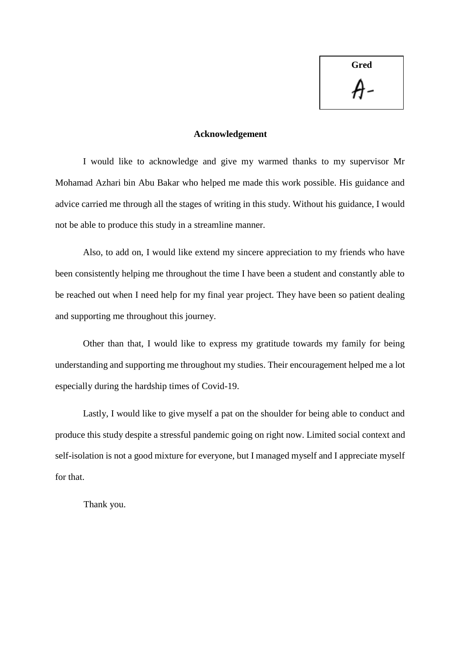**Gred**

#### **Acknowledgement**

I would like to acknowledge and give my warmed thanks to my supervisor Mr Mohamad Azhari bin Abu Bakar who helped me made this work possible. His guidance and advice carried me through all the stages of writing in this study. Without his guidance, I would not be able to produce this study in a streamline manner.

Also, to add on, I would like extend my sincere appreciation to my friends who have been consistently helping me throughout the time I have been a student and constantly able to be reached out when I need help for my final year project. They have been so patient dealing and supporting me throughout this journey.

Other than that, I would like to express my gratitude towards my family for being understanding and supporting me throughout my studies. Their encouragement helped me a lot especially during the hardship times of Covid-19.

Lastly, I would like to give myself a pat on the shoulder for being able to conduct and produce this study despite a stressful pandemic going on right now. Limited social context and self-isolation is not a good mixture for everyone, but I managed myself and I appreciate myself for that.

Thank you.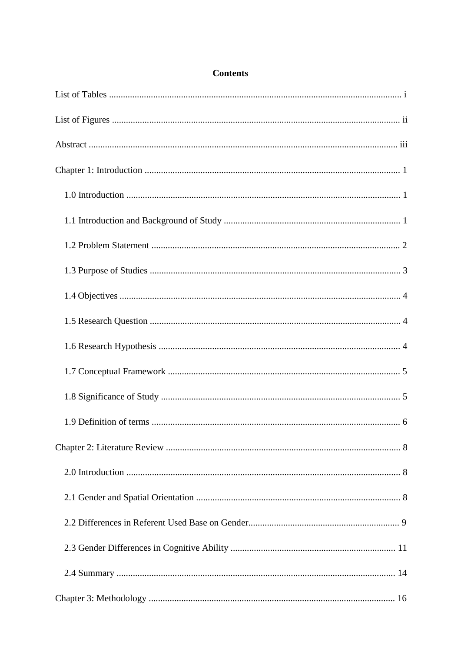# **Contents**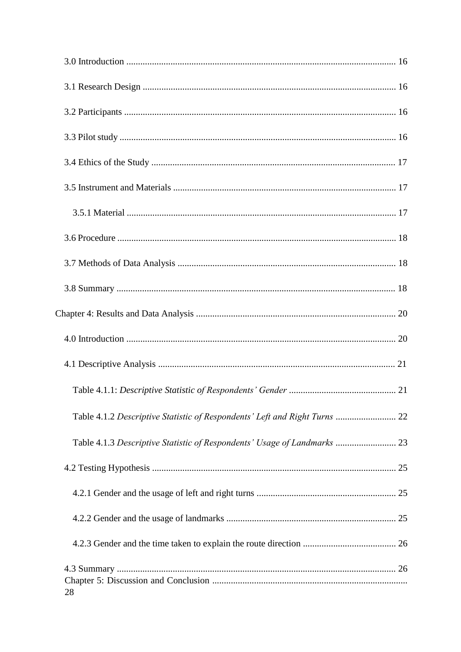| Table 4.1.2 Descriptive Statistic of Respondents' Left and Right Turns  22 |
|----------------------------------------------------------------------------|
|                                                                            |
|                                                                            |
|                                                                            |
|                                                                            |
|                                                                            |
| 28                                                                         |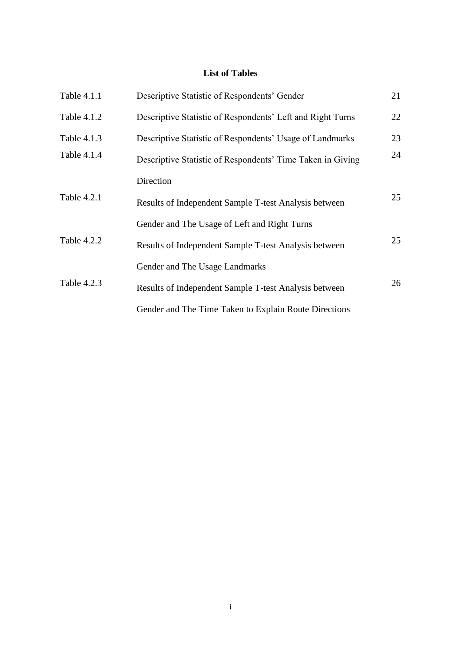# **List of Tables**

| Table 4.1.1 | Descriptive Statistic of Respondents' Gender               | 21 |
|-------------|------------------------------------------------------------|----|
| Table 4.1.2 | Descriptive Statistic of Respondents' Left and Right Turns | 22 |
| Table 4.1.3 | Descriptive Statistic of Respondents' Usage of Landmarks   | 23 |
| Table 4.1.4 | Descriptive Statistic of Respondents' Time Taken in Giving | 24 |
|             | Direction                                                  |    |
| Table 4.2.1 | Results of Independent Sample T-test Analysis between      | 25 |
|             | Gender and The Usage of Left and Right Turns               |    |
| Table 4.2.2 | Results of Independent Sample T-test Analysis between      | 25 |
|             | Gender and The Usage Landmarks                             |    |
| Table 4.2.3 | Results of Independent Sample T-test Analysis between      | 26 |
|             | Gender and The Time Taken to Explain Route Directions      |    |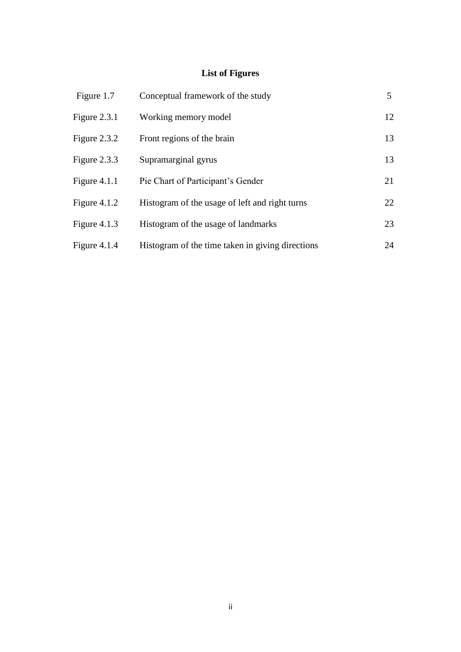# **List of Figures**

| Figure 1.7     | Conceptual framework of the study                | 5  |
|----------------|--------------------------------------------------|----|
| Figure $2.3.1$ | Working memory model                             | 12 |
| Figure $2.3.2$ | Front regions of the brain                       | 13 |
| Figure $2.3.3$ | Supramarginal gyrus                              | 13 |
| Figure $4.1.1$ | Pie Chart of Participant's Gender                | 21 |
| Figure $4.1.2$ | Histogram of the usage of left and right turns   | 22 |
| Figure $4.1.3$ | Histogram of the usage of landmarks              | 23 |
| Figure $4.1.4$ | Histogram of the time taken in giving directions | 24 |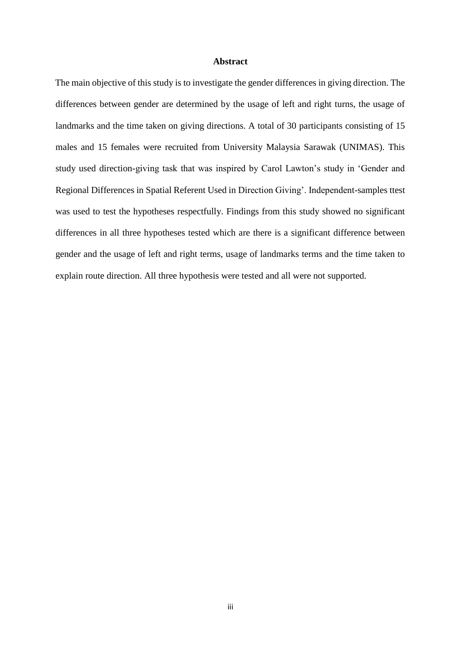#### **Abstract**

The main objective of this study is to investigate the gender differences in giving direction. The differences between gender are determined by the usage of left and right turns, the usage of landmarks and the time taken on giving directions. A total of 30 participants consisting of 15 males and 15 females were recruited from University Malaysia Sarawak (UNIMAS). This study used direction-giving task that was inspired by Carol Lawton's study in 'Gender and Regional Differences in Spatial Referent Used in Direction Giving'. Independent-samples ttest was used to test the hypotheses respectfully. Findings from this study showed no significant differences in all three hypotheses tested which are there is a significant difference between gender and the usage of left and right terms, usage of landmarks terms and the time taken to explain route direction. All three hypothesis were tested and all were not supported.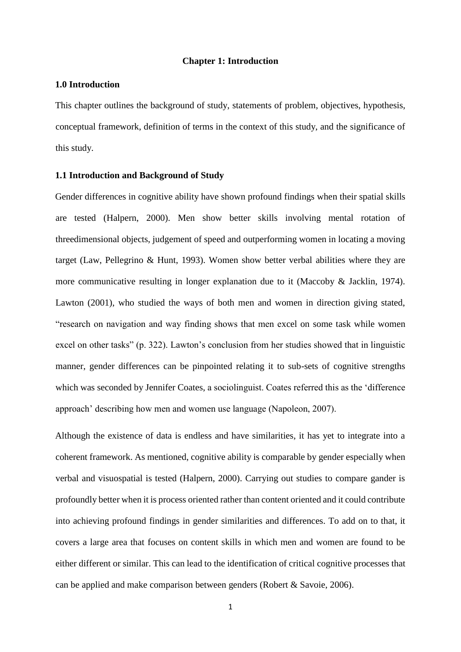#### **Chapter 1: Introduction**

#### **1.0 Introduction**

This chapter outlines the background of study, statements of problem, objectives, hypothesis, conceptual framework, definition of terms in the context of this study, and the significance of this study.

#### **1.1 Introduction and Background of Study**

Gender differences in cognitive ability have shown profound findings when their spatial skills are tested (Halpern, 2000). Men show better skills involving mental rotation of threedimensional objects, judgement of speed and outperforming women in locating a moving target (Law, Pellegrino & Hunt, 1993). Women show better verbal abilities where they are more communicative resulting in longer explanation due to it (Maccoby & Jacklin, 1974). Lawton (2001), who studied the ways of both men and women in direction giving stated, "research on navigation and way finding shows that men excel on some task while women excel on other tasks" (p. 322). Lawton's conclusion from her studies showed that in linguistic manner, gender differences can be pinpointed relating it to sub-sets of cognitive strengths which was seconded by Jennifer Coates, a sociolinguist. Coates referred this as the 'difference approach' describing how men and women use language (Napoleon, 2007).

Although the existence of data is endless and have similarities, it has yet to integrate into a coherent framework. As mentioned, cognitive ability is comparable by gender especially when verbal and visuospatial is tested (Halpern, 2000). Carrying out studies to compare gander is profoundly better when it is process oriented rather than content oriented and it could contribute into achieving profound findings in gender similarities and differences. To add on to that, it covers a large area that focuses on content skills in which men and women are found to be either different or similar. This can lead to the identification of critical cognitive processes that can be applied and make comparison between genders (Robert & Savoie, 2006).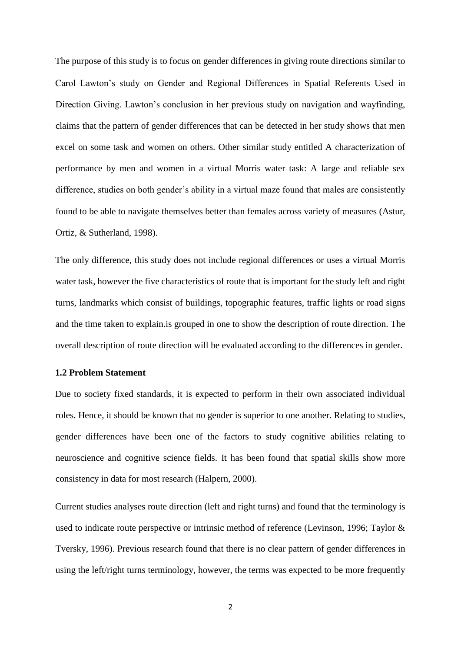The purpose of this study is to focus on gender differences in giving route directions similar to Carol Lawton's study on Gender and Regional Differences in Spatial Referents Used in Direction Giving. Lawton's conclusion in her previous study on navigation and wayfinding, claims that the pattern of gender differences that can be detected in her study shows that men excel on some task and women on others. Other similar study entitled A characterization of performance by men and women in a virtual Morris water task: A large and reliable sex difference, studies on both gender's ability in a virtual maze found that males are consistently found to be able to navigate themselves better than females across variety of measures (Astur, Ortiz, & Sutherland, 1998).

The only difference, this study does not include regional differences or uses a virtual Morris water task, however the five characteristics of route that is important for the study left and right turns, landmarks which consist of buildings, topographic features, traffic lights or road signs and the time taken to explain.is grouped in one to show the description of route direction. The overall description of route direction will be evaluated according to the differences in gender.

## **1.2 Problem Statement**

Due to society fixed standards, it is expected to perform in their own associated individual roles. Hence, it should be known that no gender is superior to one another. Relating to studies, gender differences have been one of the factors to study cognitive abilities relating to neuroscience and cognitive science fields. It has been found that spatial skills show more consistency in data for most research (Halpern, 2000).

Current studies analyses route direction (left and right turns) and found that the terminology is used to indicate route perspective or intrinsic method of reference (Levinson, 1996; Taylor & Tversky, 1996). Previous research found that there is no clear pattern of gender differences in using the left/right turns terminology, however, the terms was expected to be more frequently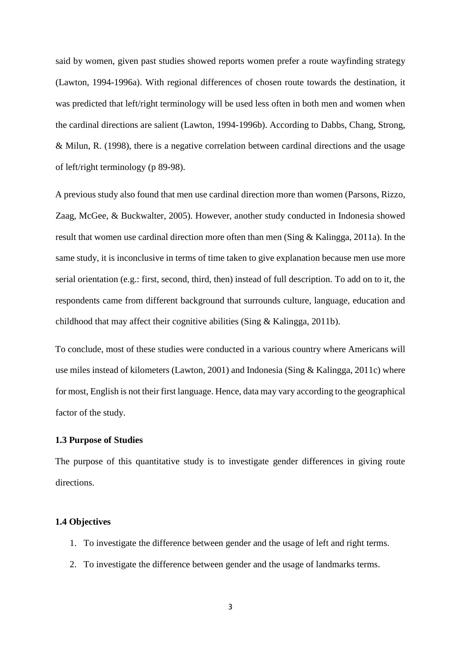said by women, given past studies showed reports women prefer a route wayfinding strategy (Lawton, 1994-1996a). With regional differences of chosen route towards the destination, it was predicted that left/right terminology will be used less often in both men and women when the cardinal directions are salient (Lawton, 1994-1996b). According to Dabbs, Chang, Strong, & Milun, R. (1998), there is a negative correlation between cardinal directions and the usage of left/right terminology (p 89-98).

A previous study also found that men use cardinal direction more than women (Parsons, Rizzo, Zaag, McGee, & Buckwalter, 2005). However, another study conducted in Indonesia showed result that women use cardinal direction more often than men (Sing & Kalingga, 2011a). In the same study, it is inconclusive in terms of time taken to give explanation because men use more serial orientation (e.g.: first, second, third, then) instead of full description. To add on to it, the respondents came from different background that surrounds culture, language, education and childhood that may affect their cognitive abilities (Sing & Kalingga, 2011b).

To conclude, most of these studies were conducted in a various country where Americans will use miles instead of kilometers (Lawton, 2001) and Indonesia (Sing & Kalingga, 2011c) where for most, English is not their first language. Hence, data may vary according to the geographical factor of the study.

#### **1.3 Purpose of Studies**

The purpose of this quantitative study is to investigate gender differences in giving route directions.

#### **1.4 Objectives**

- 1. To investigate the difference between gender and the usage of left and right terms.
- 2. To investigate the difference between gender and the usage of landmarks terms.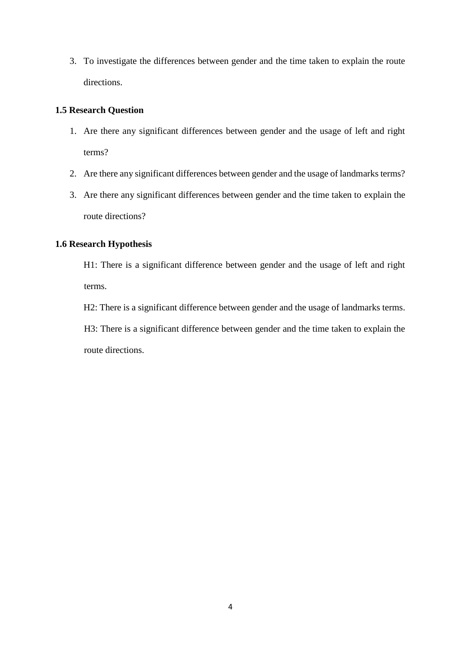3. To investigate the differences between gender and the time taken to explain the route directions.

## **1.5 Research Question**

- 1. Are there any significant differences between gender and the usage of left and right terms?
- 2. Are there any significant differences between gender and the usage of landmarks terms?
- 3. Are there any significant differences between gender and the time taken to explain the route directions?

## **1.6 Research Hypothesis**

H1: There is a significant difference between gender and the usage of left and right terms.

H2: There is a significant difference between gender and the usage of landmarks terms. H3: There is a significant difference between gender and the time taken to explain the route directions.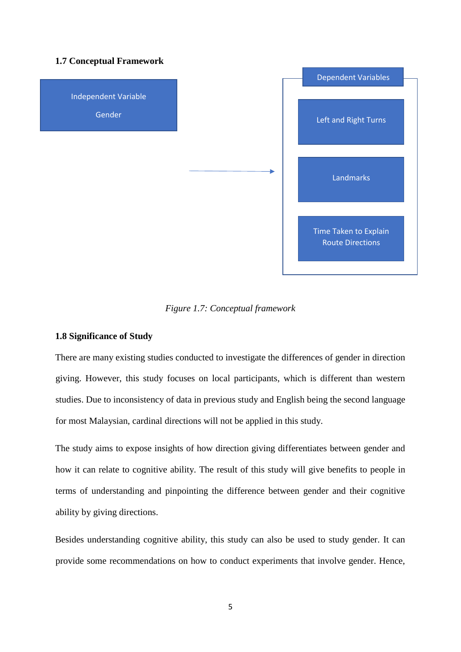## **1.7 Conceptual Framework**



*Figure 1.7: Conceptual framework* 

## **1.8 Significance of Study**

There are many existing studies conducted to investigate the differences of gender in direction giving. However, this study focuses on local participants, which is different than western studies. Due to inconsistency of data in previous study and English being the second language for most Malaysian, cardinal directions will not be applied in this study.

The study aims to expose insights of how direction giving differentiates between gender and how it can relate to cognitive ability. The result of this study will give benefits to people in terms of understanding and pinpointing the difference between gender and their cognitive ability by giving directions.

Besides understanding cognitive ability, this study can also be used to study gender. It can provide some recommendations on how to conduct experiments that involve gender. Hence,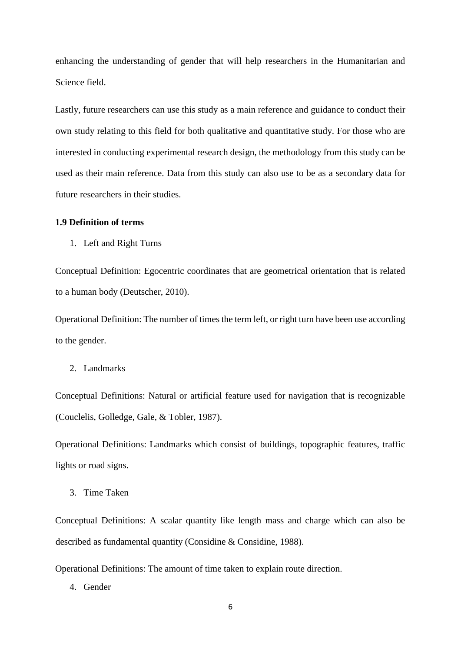enhancing the understanding of gender that will help researchers in the Humanitarian and Science field.

Lastly, future researchers can use this study as a main reference and guidance to conduct their own study relating to this field for both qualitative and quantitative study. For those who are interested in conducting experimental research design, the methodology from this study can be used as their main reference. Data from this study can also use to be as a secondary data for future researchers in their studies.

#### **1.9 Definition of terms**

1. Left and Right Turns

Conceptual Definition: Egocentric coordinates that are geometrical orientation that is related to a human body (Deutscher, 2010).

Operational Definition: The number of times the term left, or right turn have been use according to the gender.

2. Landmarks

Conceptual Definitions: Natural or artificial feature used for navigation that is recognizable (Couclelis, Golledge, Gale, & Tobler, 1987).

Operational Definitions: Landmarks which consist of buildings, topographic features, traffic lights or road signs.

3. Time Taken

Conceptual Definitions: A scalar quantity like length mass and charge which can also be described as fundamental quantity (Considine & Considine, 1988).

Operational Definitions: The amount of time taken to explain route direction.

4. Gender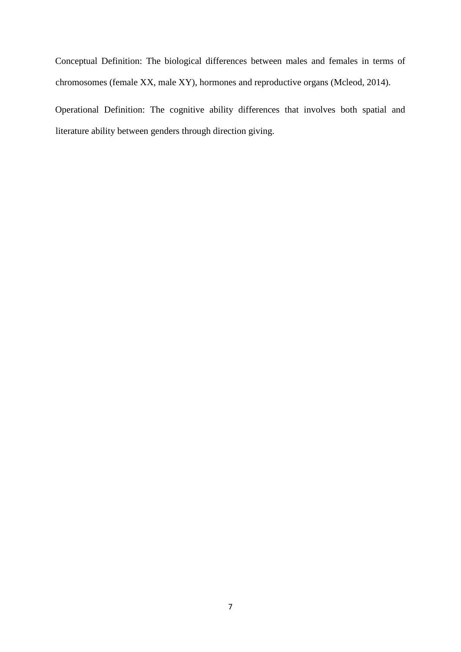Conceptual Definition: The biological differences between males and females in terms of chromosomes (female XX, male XY), hormones and reproductive organs (Mcleod, 2014).

Operational Definition: The cognitive ability differences that involves both spatial and literature ability between genders through direction giving.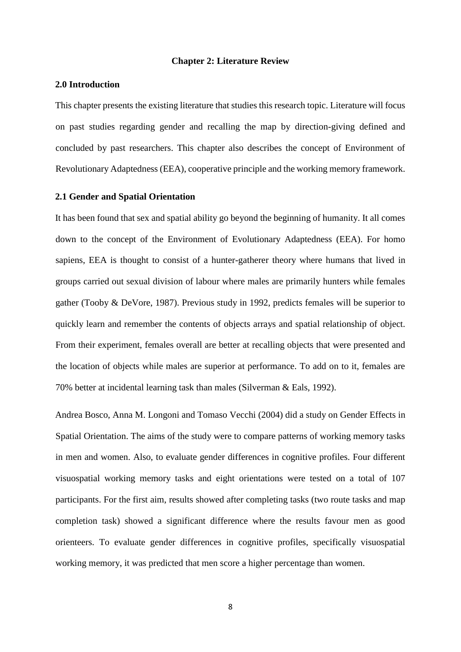#### **Chapter 2: Literature Review**

#### **2.0 Introduction**

This chapter presents the existing literature that studies this research topic. Literature will focus on past studies regarding gender and recalling the map by direction-giving defined and concluded by past researchers. This chapter also describes the concept of Environment of Revolutionary Adaptedness (EEA), cooperative principle and the working memory framework.

#### **2.1 Gender and Spatial Orientation**

It has been found that sex and spatial ability go beyond the beginning of humanity. It all comes down to the concept of the Environment of Evolutionary Adaptedness (EEA). For homo sapiens, EEA is thought to consist of a hunter-gatherer theory where humans that lived in groups carried out sexual division of labour where males are primarily hunters while females gather (Tooby & DeVore, 1987). Previous study in 1992, predicts females will be superior to quickly learn and remember the contents of objects arrays and spatial relationship of object. From their experiment, females overall are better at recalling objects that were presented and the location of objects while males are superior at performance. To add on to it, females are 70% better at incidental learning task than males (Silverman & Eals, 1992).

Andrea Bosco, Anna M. Longoni and Tomaso Vecchi (2004) did a study on Gender Effects in Spatial Orientation. The aims of the study were to compare patterns of working memory tasks in men and women. Also, to evaluate gender differences in cognitive profiles. Four different visuospatial working memory tasks and eight orientations were tested on a total of 107 participants. For the first aim, results showed after completing tasks (two route tasks and map completion task) showed a significant difference where the results favour men as good orienteers. To evaluate gender differences in cognitive profiles, specifically visuospatial working memory, it was predicted that men score a higher percentage than women.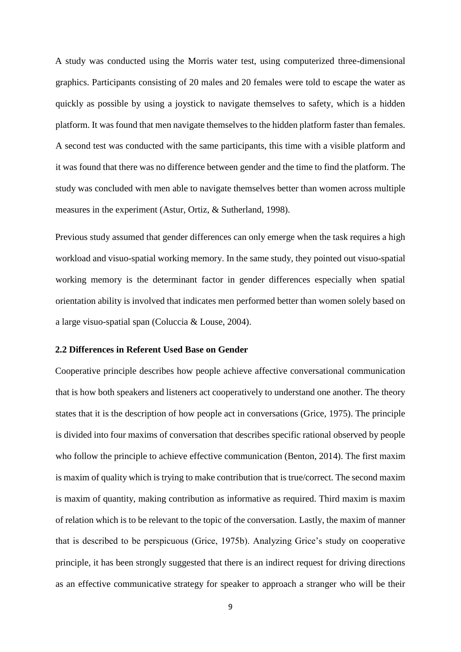A study was conducted using the Morris water test, using computerized three-dimensional graphics. Participants consisting of 20 males and 20 females were told to escape the water as quickly as possible by using a joystick to navigate themselves to safety, which is a hidden platform. It was found that men navigate themselves to the hidden platform faster than females. A second test was conducted with the same participants, this time with a visible platform and it was found that there was no difference between gender and the time to find the platform. The study was concluded with men able to navigate themselves better than women across multiple measures in the experiment (Astur, Ortiz, & Sutherland, 1998).

Previous study assumed that gender differences can only emerge when the task requires a high workload and visuo-spatial working memory. In the same study, they pointed out visuo-spatial working memory is the determinant factor in gender differences especially when spatial orientation ability is involved that indicates men performed better than women solely based on a large visuo-spatial span (Coluccia & Louse, 2004).

#### **2.2 Differences in Referent Used Base on Gender**

Cooperative principle describes how people achieve affective conversational communication that is how both speakers and listeners act cooperatively to understand one another. The theory states that it is the description of how people act in conversations (Grice, 1975). The principle is divided into four maxims of conversation that describes specific rational observed by people who follow the principle to achieve effective communication (Benton, 2014). The first maxim is maxim of quality which is trying to make contribution that is true/correct. The second maxim is maxim of quantity, making contribution as informative as required. Third maxim is maxim of relation which is to be relevant to the topic of the conversation. Lastly, the maxim of manner that is described to be perspicuous (Grice, 1975b). Analyzing Grice's study on cooperative principle, it has been strongly suggested that there is an indirect request for driving directions as an effective communicative strategy for speaker to approach a stranger who will be their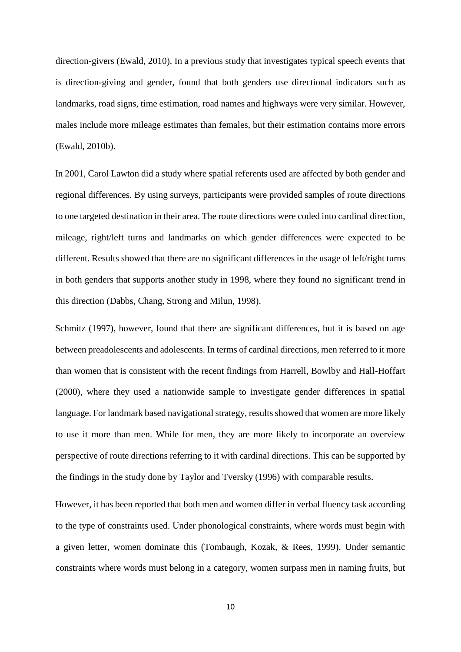direction-givers (Ewald, 2010). In a previous study that investigates typical speech events that is direction-giving and gender, found that both genders use directional indicators such as landmarks, road signs, time estimation, road names and highways were very similar. However, males include more mileage estimates than females, but their estimation contains more errors (Ewald, 2010b).

In 2001, Carol Lawton did a study where spatial referents used are affected by both gender and regional differences. By using surveys, participants were provided samples of route directions to one targeted destination in their area. The route directions were coded into cardinal direction, mileage, right/left turns and landmarks on which gender differences were expected to be different. Results showed that there are no significant differences in the usage of left/right turns in both genders that supports another study in 1998, where they found no significant trend in this direction (Dabbs, Chang, Strong and Milun, 1998).

Schmitz (1997), however, found that there are significant differences, but it is based on age between preadolescents and adolescents. In terms of cardinal directions, men referred to it more than women that is consistent with the recent findings from Harrell, Bowlby and Hall-Hoffart (2000), where they used a nationwide sample to investigate gender differences in spatial language. For landmark based navigational strategy, results showed that women are more likely to use it more than men. While for men, they are more likely to incorporate an overview perspective of route directions referring to it with cardinal directions. This can be supported by the findings in the study done by Taylor and Tversky (1996) with comparable results.

However, it has been reported that both men and women differ in verbal fluency task according to the type of constraints used. Under phonological constraints, where words must begin with a given letter, women dominate this (Tombaugh, Kozak, & Rees, 1999). Under semantic constraints where words must belong in a category, women surpass men in naming fruits, but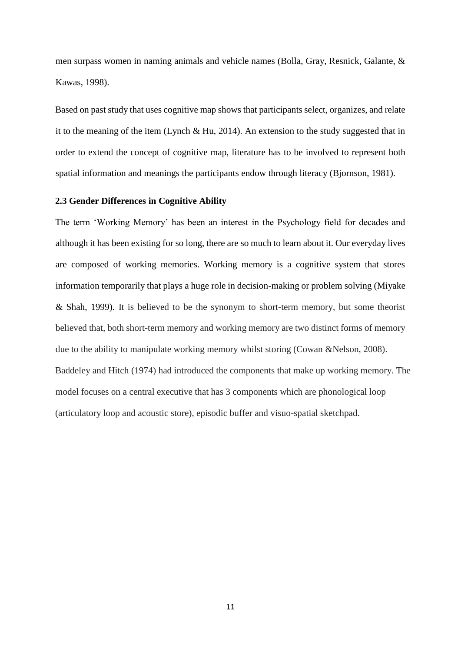men surpass women in naming animals and vehicle names (Bolla, Gray, Resnick, Galante, & Kawas, 1998).

Based on past study that uses cognitive map shows that participants select, organizes, and relate it to the meaning of the item (Lynch & Hu, 2014). An extension to the study suggested that in order to extend the concept of cognitive map, literature has to be involved to represent both spatial information and meanings the participants endow through literacy (Bjornson, 1981).

### **2.3 Gender Differences in Cognitive Ability**

The term 'Working Memory' has been an interest in the Psychology field for decades and although it has been existing for so long, there are so much to learn about it. Our everyday lives are composed of working memories. Working memory is a cognitive system that stores information temporarily that plays a huge role in decision-making or problem solving (Miyake & Shah, 1999). It is believed to be the synonym to short-term memory, but some theorist believed that, both short-term memory and working memory are two distinct forms of memory due to the ability to manipulate working memory whilst storing (Cowan &Nelson, 2008). Baddeley and Hitch (1974) had introduced the components that make up working memory. The model focuses on a central executive that has 3 components which are phonological loop (articulatory loop and acoustic store), episodic buffer and visuo-spatial sketchpad.